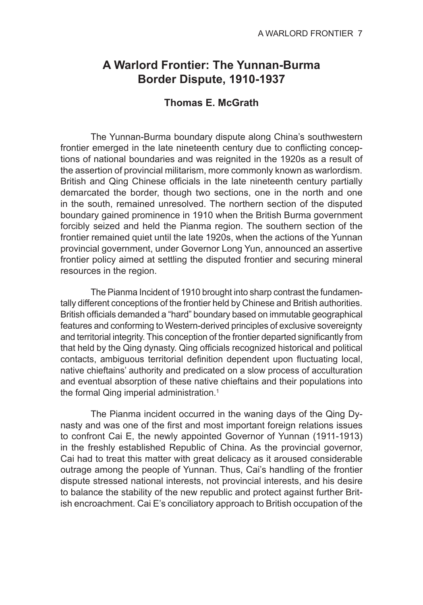# **A Warlord Frontier: The Yunnan-Burma Border Dispute, 1910-1937**

## **Thomas E. McGrath**

The Yunnan-Burma boundary dispute along China's southwestern frontier emerged in the late nineteenth century due to conflicting conceptions of national boundaries and was reignited in the 1920s as a result of the assertion of provincial militarism, more commonly known as warlordism. British and Qing Chinese officials in the late nineteenth century partially demarcated the border, though two sections, one in the north and one in the south, remained unresolved. The northern section of the disputed boundary gained prominence in 1910 when the British Burma government forcibly seized and held the Pianma region. The southern section of the frontier remained quiet until the late 1920s, when the actions of the Yunnan provincial government, under Governor Long Yun, announced an assertive frontier policy aimed at settling the disputed frontier and securing mineral resources in the region.

The Pianma Incident of 1910 brought into sharp contrast the fundamentally different conceptions of the frontier held by Chinese and British authorities. British officials demanded a "hard" boundary based on immutable geographical features and conforming to Western-derived principles of exclusive sovereignty and territorial integrity. This conception of the frontier departed significantly from that held by the Qing dynasty. Qing officials recognized historical and political contacts, ambiguous territorial definition dependent upon fluctuating local, native chieftains' authority and predicated on a slow process of acculturation and eventual absorption of these native chieftains and their populations into the formal Qing imperial administration.<sup>1</sup>

The Pianma incident occurred in the waning days of the Qing Dynasty and was one of the first and most important foreign relations issues to confront Cai E, the newly appointed Governor of Yunnan (1911-1913) in the freshly established Republic of China. As the provincial governor, Cai had to treat this matter with great delicacy as it aroused considerable outrage among the people of Yunnan. Thus, Cai's handling of the frontier dispute stressed national interests, not provincial interests, and his desire to balance the stability of the new republic and protect against further British encroachment. Cai E's conciliatory approach to British occupation of the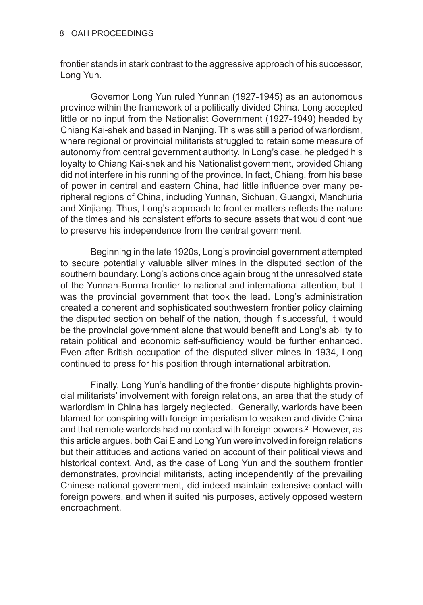#### 8 OAH PROCEEDINGS

frontier stands in stark contrast to the aggressive approach of his successor, Long Yun.

Governor Long Yun ruled Yunnan (1927-1945) as an autonomous province within the framework of a politically divided China. Long accepted little or no input from the Nationalist Government (1927-1949) headed by Chiang Kai-shek and based in Nanjing. This was still a period of warlordism, where regional or provincial militarists struggled to retain some measure of autonomy from central government authority. In Long's case, he pledged his loyalty to Chiang Kai-shek and his Nationalist government, provided Chiang did not interfere in his running of the province. In fact, Chiang, from his base of power in central and eastern China, had little influence over many peripheral regions of China, including Yunnan, Sichuan, Guangxi, Manchuria and Xinjiang. Thus, Long's approach to frontier matters reflects the nature of the times and his consistent efforts to secure assets that would continue to preserve his independence from the central government.

Beginning in the late 1920s, Long's provincial government attempted to secure potentially valuable silver mines in the disputed section of the southern boundary. Long's actions once again brought the unresolved state of the Yunnan-Burma frontier to national and international attention, but it was the provincial government that took the lead. Long's administration created a coherent and sophisticated southwestern frontier policy claiming the disputed section on behalf of the nation, though if successful, it would be the provincial government alone that would benefit and Long's ability to retain political and economic self-sufficiency would be further enhanced. Even after British occupation of the disputed silver mines in 1934, Long continued to press for his position through international arbitration.

Finally, Long Yun's handling of the frontier dispute highlights provincial militarists' involvement with foreign relations, an area that the study of warlordism in China has largely neglected. Generally, warlords have been blamed for conspiring with foreign imperialism to weaken and divide China and that remote warlords had no contact with foreign powers.<sup>2</sup> However, as this article argues, both Cai E and Long Yun were involved in foreign relations but their attitudes and actions varied on account of their political views and historical context. And, as the case of Long Yun and the southern frontier demonstrates, provincial militarists, acting independently of the prevailing Chinese national government, did indeed maintain extensive contact with foreign powers, and when it suited his purposes, actively opposed western encroachment.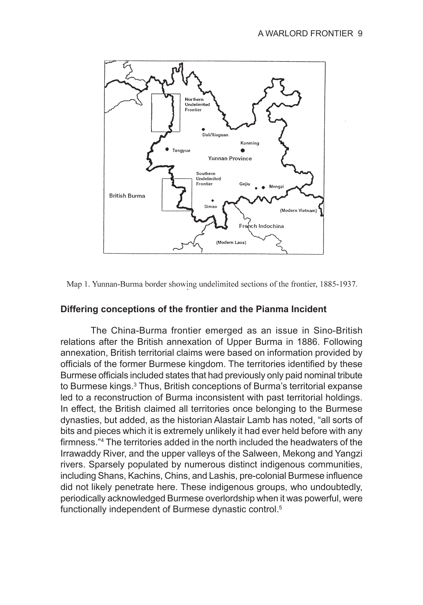

Map 1. Yunnan-Burma border showing undelimited sections of the frontier, 1885-1937.

## **Differing conceptions of the frontier and the Pianma Incident**

The China-Burma frontier emerged as an issue in Sino-British relations after the British annexation of Upper Burma in 1886. Following annexation, British territorial claims were based on information provided by officials of the former Burmese kingdom. The territories identified by these Burmese officials included states that had previously only paid nominal tribute to Burmese kings.<sup>3</sup> Thus, British conceptions of Burma's territorial expanse led to a reconstruction of Burma inconsistent with past territorial holdings. In effect, the British claimed all territories once belonging to the Burmese dynasties, but added, as the historian Alastair Lamb has noted, "all sorts of bits and pieces which it is extremely unlikely it had ever held before with any firmness."<sup>4</sup> The territories added in the north included the headwaters of the Irrawaddy River, and the upper valleys of the Salween, Mekong and Yangzi rivers. Sparsely populated by numerous distinct indigenous communities, including Shans, Kachins, Chins, and Lashis, pre-colonial Burmese influence did not likely penetrate here. These indigenous groups, who undoubtedly, periodically acknowledged Burmese overlordship when it was powerful, were functionally independent of Burmese dynastic control.<sup>5</sup>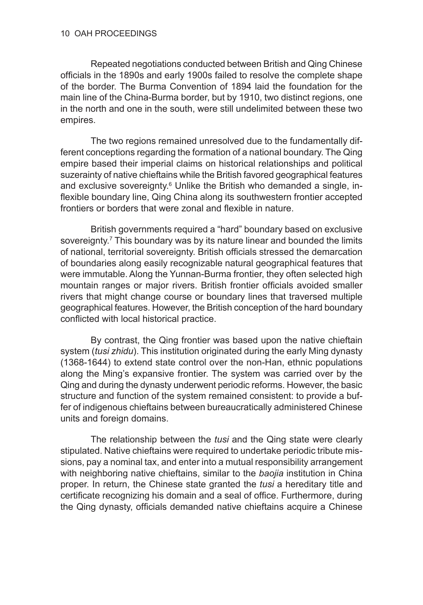Repeated negotiations conducted between British and Qing Chinese officials in the 1890s and early 1900s failed to resolve the complete shape of the border. The Burma Convention of 1894 laid the foundation for the main line of the China-Burma border, but by 1910, two distinct regions, one in the north and one in the south, were still undelimited between these two empires.

The two regions remained unresolved due to the fundamentally different conceptions regarding the formation of a national boundary. The Qing empire based their imperial claims on historical relationships and political suzerainty of native chieftains while the British favored geographical features and exclusive sovereignty.<sup>6</sup> Unlike the British who demanded a single, inflexible boundary line, Qing China along its southwestern frontier accepted frontiers or borders that were zonal and flexible in nature.

British governments required a "hard" boundary based on exclusive sovereignty.<sup>7</sup> This boundary was by its nature linear and bounded the limits of national, territorial sovereignty. British officials stressed the demarcation of boundaries along easily recognizable natural geographical features that were immutable. Along the Yunnan-Burma frontier, they often selected high mountain ranges or major rivers. British frontier officials avoided smaller rivers that might change course or boundary lines that traversed multiple geographical features. However, the British conception of the hard boundary conflicted with local historical practice.

By contrast, the Qing frontier was based upon the native chieftain system (*tusi zhidu*). This institution originated during the early Ming dynasty (1368-1644) to extend state control over the non-Han, ethnic populations along the Ming's expansive frontier. The system was carried over by the Qing and during the dynasty underwent periodic reforms. However, the basic structure and function of the system remained consistent: to provide a buffer of indigenous chieftains between bureaucratically administered Chinese units and foreign domains.

The relationship between the *tusi* and the Qing state were clearly stipulated. Native chieftains were required to undertake periodic tribute missions, pay a nominal tax, and enter into a mutual responsibility arrangement with neighboring native chieftains, similar to the *baojia* institution in China proper. In return, the Chinese state granted the *tusi* a hereditary title and certificate recognizing his domain and a seal of office. Furthermore, during the Qing dynasty, officials demanded native chieftains acquire a Chinese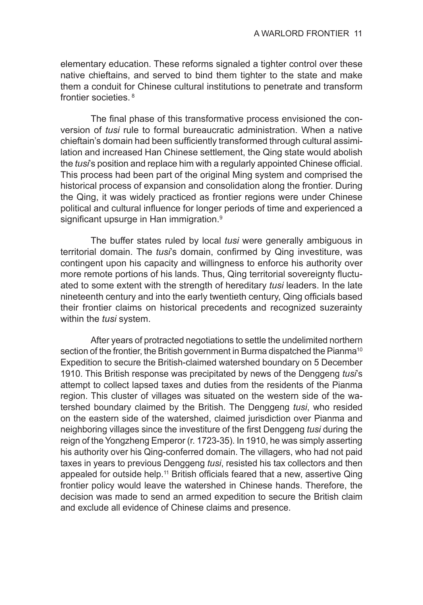elementary education. These reforms signaled a tighter control over these native chieftains, and served to bind them tighter to the state and make them a conduit for Chinese cultural institutions to penetrate and transform frontier societies. 8

The final phase of this transformative process envisioned the conversion of *tusi* rule to formal bureaucratic administration. When a native chieftain's domain had been sufficiently transformed through cultural assimilation and increased Han Chinese settlement, the Qing state would abolish the *tusi*'s position and replace him with a regularly appointed Chinese official. This process had been part of the original Ming system and comprised the historical process of expansion and consolidation along the frontier. During the Qing, it was widely practiced as frontier regions were under Chinese political and cultural influence for longer periods of time and experienced a significant upsurge in Han immigration.<sup>9</sup>

The buffer states ruled by local *tusi* were generally ambiguous in territorial domain. The *tusi*'s domain, confirmed by Qing investiture, was contingent upon his capacity and willingness to enforce his authority over more remote portions of his lands. Thus, Qing territorial sovereignty fluctuated to some extent with the strength of hereditary *tusi* leaders. In the late nineteenth century and into the early twentieth century, Qing officials based their frontier claims on historical precedents and recognized suzerainty within the *tusi* system.

After years of protracted negotiations to settle the undelimited northern section of the frontier, the British government in Burma dispatched the Pianma<sup>10</sup> Expedition to secure the British-claimed watershed boundary on 5 December 1910. This British response was precipitated by news of the Denggeng *tusi*'s attempt to collect lapsed taxes and duties from the residents of the Pianma region. This cluster of villages was situated on the western side of the watershed boundary claimed by the British. The Denggeng *tusi*, who resided on the eastern side of the watershed, claimed jurisdiction over Pianma and neighboring villages since the investiture of the first Denggeng *tusi* during the reign of the Yongzheng Emperor (r. 1723-35). In 1910, he was simply asserting his authority over his Qing-conferred domain. The villagers, who had not paid taxes in years to previous Denggeng *tusi*, resisted his tax collectors and then appealed for outside help.<sup>11</sup> British officials feared that a new, assertive Qing frontier policy would leave the watershed in Chinese hands. Therefore, the decision was made to send an armed expedition to secure the British claim and exclude all evidence of Chinese claims and presence.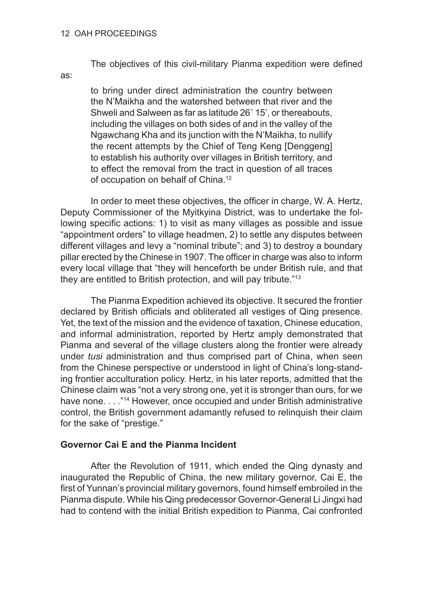#### 12 OAH PROCEEDINGS

The objectives of this civil-military Pianma expedition were defined

as:

to bring under direct administration the country between the N'Maikha and the watershed between that river and the Shweli and Salween as far as latitude 26˚ 15', or thereabouts, including the villages on both sides of and in the valley of the Ngawchang Kha and its junction with the N'Maikha, to nullify the recent attempts by the Chief of Teng Keng [Denggeng] to establish his authority over villages in British territory, and to effect the removal from the tract in question of all traces of occupation on behalf of China.<sup>12</sup>

In order to meet these objectives, the officer in charge, W. A. Hertz, Deputy Commissioner of the Myitkyina District, was to undertake the following specific actions: 1) to visit as many villages as possible and issue "appointment orders" to village headmen, 2) to settle any disputes between different villages and levy a "nominal tribute"; and 3) to destroy a boundary pillar erected by the Chinese in 1907. The officer in charge was also to inform every local village that "they will henceforth be under British rule, and that they are entitled to British protection, and will pay tribute."<sup>13</sup>

The Pianma Expedition achieved its objective. It secured the frontier declared by British officials and obliterated all vestiges of Qing presence. Yet, the text of the mission and the evidence of taxation, Chinese education, and informal administration, reported by Hertz amply demonstrated that Pianma and several of the village clusters along the frontier were already under *tusi* administration and thus comprised part of China, when seen from the Chinese perspective or understood in light of China's long-standing frontier acculturation policy. Hertz, in his later reports, admitted that the Chinese claim was "not a very strong one, yet it is stronger than ours, for we have none. . . . "<sup>14</sup> However, once occupied and under British administrative control, the British government adamantly refused to relinquish their claim for the sake of "prestige."

## **Governor Cai E and the Pianma Incident**

After the Revolution of 1911, which ended the Qing dynasty and inaugurated the Republic of China, the new military governor, Cai E, the first of Yunnan's provincial military governors, found himself embroiled in the Pianma dispute. While his Qing predecessor Governor-General Li Jingxi had had to contend with the initial British expedition to Pianma, Cai confronted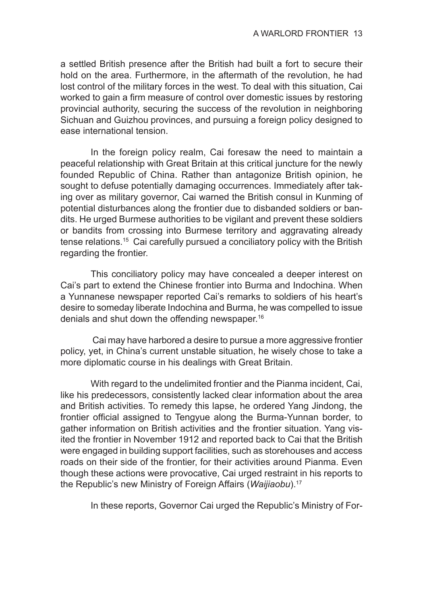a settled British presence after the British had built a fort to secure their hold on the area. Furthermore, in the aftermath of the revolution, he had lost control of the military forces in the west. To deal with this situation, Cai worked to gain a firm measure of control over domestic issues by restoring provincial authority, securing the success of the revolution in neighboring Sichuan and Guizhou provinces, and pursuing a foreign policy designed to ease international tension.

In the foreign policy realm, Cai foresaw the need to maintain a peaceful relationship with Great Britain at this critical juncture for the newly founded Republic of China. Rather than antagonize British opinion, he sought to defuse potentially damaging occurrences. Immediately after taking over as military governor, Cai warned the British consul in Kunming of potential disturbances along the frontier due to disbanded soldiers or bandits. He urged Burmese authorities to be vigilant and prevent these soldiers or bandits from crossing into Burmese territory and aggravating already tense relations.15 Cai carefully pursued a conciliatory policy with the British regarding the frontier.

This conciliatory policy may have concealed a deeper interest on Cai's part to extend the Chinese frontier into Burma and Indochina. When a Yunnanese newspaper reported Cai's remarks to soldiers of his heart's desire to someday liberate Indochina and Burma, he was compelled to issue denials and shut down the offending newspaper.16

 Cai may have harbored a desire to pursue a more aggressive frontier policy, yet, in China's current unstable situation, he wisely chose to take a more diplomatic course in his dealings with Great Britain.

With regard to the undelimited frontier and the Pianma incident, Cai, like his predecessors, consistently lacked clear information about the area and British activities. To remedy this lapse, he ordered Yang Jindong, the frontier official assigned to Tengyue along the Burma-Yunnan border, to gather information on British activities and the frontier situation. Yang visited the frontier in November 1912 and reported back to Cai that the British were engaged in building support facilities, such as storehouses and access roads on their side of the frontier, for their activities around Pianma. Even though these actions were provocative, Cai urged restraint in his reports to the Republic's new Ministry of Foreign Affairs (*Waijiaobu*).17

In these reports, Governor Cai urged the Republic's Ministry of For-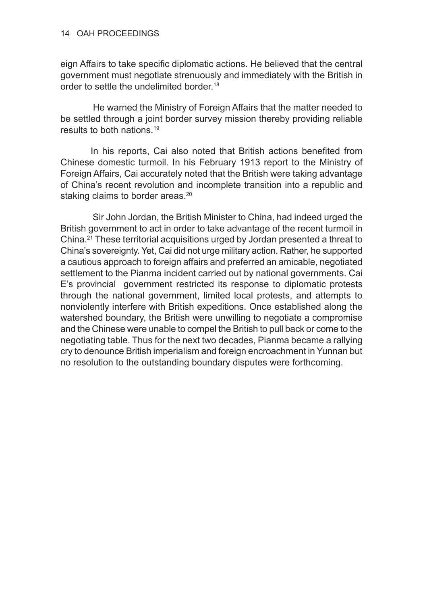eign Affairs to take specific diplomatic actions. He believed that the central government must negotiate strenuously and immediately with the British in order to settle the undelimited border.<sup>18</sup>

 He warned the Ministry of Foreign Affairs that the matter needed to be settled through a joint border survey mission thereby providing reliable results to both nations.<sup>19</sup>

In his reports, Cai also noted that British actions benefited from Chinese domestic turmoil. In his February 1913 report to the Ministry of Foreign Affairs, Cai accurately noted that the British were taking advantage of China's recent revolution and incomplete transition into a republic and staking claims to border areas.<sup>20</sup>

 Sir John Jordan, the British Minister to China, had indeed urged the British government to act in order to take advantage of the recent turmoil in China.21 These territorial acquisitions urged by Jordan presented a threat to China's sovereignty. Yet, Cai did not urge military action. Rather, he supported a cautious approach to foreign affairs and preferred an amicable, negotiated settlement to the Pianma incident carried out by national governments. Cai E's provincial government restricted its response to diplomatic protests through the national government, limited local protests, and attempts to nonviolently interfere with British expeditions. Once established along the watershed boundary, the British were unwilling to negotiate a compromise and the Chinese were unable to compel the British to pull back or come to the negotiating table. Thus for the next two decades, Pianma became a rallying cry to denounce British imperialism and foreign encroachment in Yunnan but no resolution to the outstanding boundary disputes were forthcoming.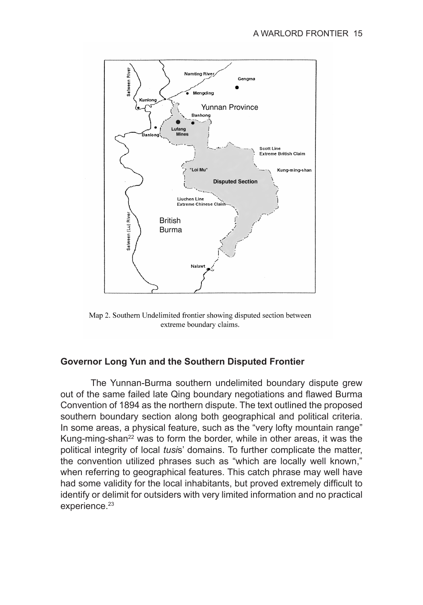

Map 2. Southern Undelimited frontier showing disputed section between extreme boundary claims.

## **Governor Long Yun and the Southern Disputed Frontier**

The Yunnan-Burma southern undelimited boundary dispute grew out of the same failed late Qing boundary negotiations and flawed Burma Convention of 1894 as the northern dispute. The text outlined the proposed southern boundary section along both geographical and political criteria. In some areas, a physical feature, such as the "very lofty mountain range" Kung-ming-shan<sup>22</sup> was to form the border, while in other areas, it was the political integrity of local *tusi*s' domains. To further complicate the matter, the convention utilized phrases such as "which are locally well known," when referring to geographical features. This catch phrase may well have had some validity for the local inhabitants, but proved extremely difficult to identify or delimit for outsiders with very limited information and no practical experience.<sup>23</sup>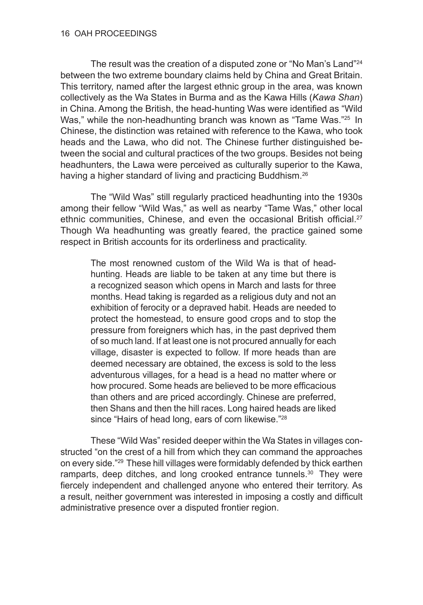The result was the creation of a disputed zone or "No Man's Land"<sup>24</sup> between the two extreme boundary claims held by China and Great Britain. This territory, named after the largest ethnic group in the area, was known collectively as the Wa States in Burma and as the Kawa Hills (*Kawa Shan*) in China. Among the British, the head-hunting Was were identified as "Wild Was," while the non-headhunting branch was known as "Tame Was."<sup>25</sup> In Chinese, the distinction was retained with reference to the Kawa, who took heads and the Lawa, who did not. The Chinese further distinguished between the social and cultural practices of the two groups. Besides not being headhunters, the Lawa were perceived as culturally superior to the Kawa, having a higher standard of living and practicing Buddhism.<sup>26</sup>

The "Wild Was" still regularly practiced headhunting into the 1930s among their fellow "Wild Was," as well as nearby "Tame Was," other local ethnic communities, Chinese, and even the occasional British official.<sup>27</sup> Though Wa headhunting was greatly feared, the practice gained some respect in British accounts for its orderliness and practicality.

The most renowned custom of the Wild Wa is that of headhunting. Heads are liable to be taken at any time but there is a recognized season which opens in March and lasts for three months. Head taking is regarded as a religious duty and not an exhibition of ferocity or a depraved habit. Heads are needed to protect the homestead, to ensure good crops and to stop the pressure from foreigners which has, in the past deprived them of so much land. If at least one is not procured annually for each village, disaster is expected to follow. If more heads than are deemed necessary are obtained, the excess is sold to the less adventurous villages, for a head is a head no matter where or how procured. Some heads are believed to be more efficacious than others and are priced accordingly. Chinese are preferred, then Shans and then the hill races. Long haired heads are liked since "Hairs of head long, ears of corn likewise."<sup>28</sup>

These "Wild Was" resided deeper within the Wa States in villages constructed "on the crest of a hill from which they can command the approaches on every side."29 These hill villages were formidably defended by thick earthen ramparts, deep ditches, and long crooked entrance tunnels.<sup>30</sup> They were fiercely independent and challenged anyone who entered their territory. As a result, neither government was interested in imposing a costly and difficult administrative presence over a disputed frontier region.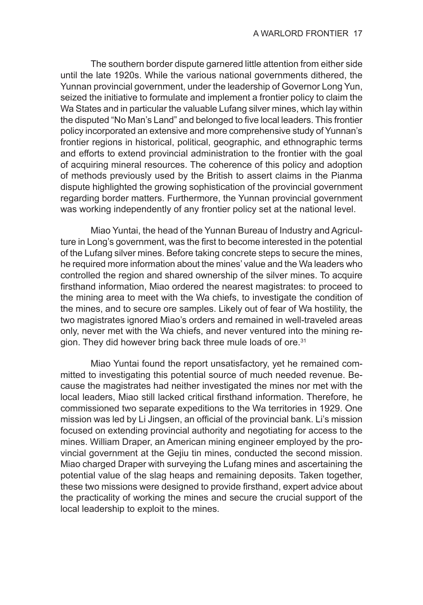The southern border dispute garnered little attention from either side until the late 1920s. While the various national governments dithered, the Yunnan provincial government, under the leadership of Governor Long Yun, seized the initiative to formulate and implement a frontier policy to claim the Wa States and in particular the valuable Lufang silver mines, which lay within the disputed "No Man's Land" and belonged to five local leaders. This frontier policy incorporated an extensive and more comprehensive study of Yunnan's frontier regions in historical, political, geographic, and ethnographic terms and efforts to extend provincial administration to the frontier with the goal of acquiring mineral resources. The coherence of this policy and adoption of methods previously used by the British to assert claims in the Pianma dispute highlighted the growing sophistication of the provincial government regarding border matters. Furthermore, the Yunnan provincial government was working independently of any frontier policy set at the national level.

Miao Yuntai, the head of the Yunnan Bureau of Industry and Agriculture in Long's government, was the first to become interested in the potential of the Lufang silver mines. Before taking concrete steps to secure the mines, he required more information about the mines' value and the Wa leaders who controlled the region and shared ownership of the silver mines. To acquire firsthand information, Miao ordered the nearest magistrates: to proceed to the mining area to meet with the Wa chiefs, to investigate the condition of the mines, and to secure ore samples. Likely out of fear of Wa hostility, the two magistrates ignored Miao's orders and remained in well-traveled areas only, never met with the Wa chiefs, and never ventured into the mining region. They did however bring back three mule loads of ore.<sup>31</sup>

Miao Yuntai found the report unsatisfactory, yet he remained committed to investigating this potential source of much needed revenue. Because the magistrates had neither investigated the mines nor met with the local leaders, Miao still lacked critical firsthand information. Therefore, he commissioned two separate expeditions to the Wa territories in 1929. One mission was led by Li Jingsen, an official of the provincial bank. Li's mission focused on extending provincial authority and negotiating for access to the mines. William Draper, an American mining engineer employed by the provincial government at the Gejiu tin mines, conducted the second mission. Miao charged Draper with surveying the Lufang mines and ascertaining the potential value of the slag heaps and remaining deposits. Taken together, these two missions were designed to provide firsthand, expert advice about the practicality of working the mines and secure the crucial support of the local leadership to exploit to the mines.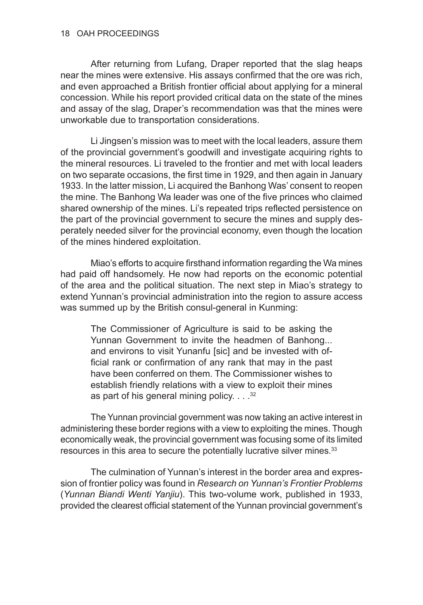After returning from Lufang, Draper reported that the slag heaps near the mines were extensive. His assays confirmed that the ore was rich, and even approached a British frontier official about applying for a mineral concession. While his report provided critical data on the state of the mines and assay of the slag, Draper's recommendation was that the mines were unworkable due to transportation considerations.

Li Jingsen's mission was to meet with the local leaders, assure them of the provincial government's goodwill and investigate acquiring rights to the mineral resources. Li traveled to the frontier and met with local leaders on two separate occasions, the first time in 1929, and then again in January 1933. In the latter mission, Li acquired the Banhong Was' consent to reopen the mine. The Banhong Wa leader was one of the five princes who claimed shared ownership of the mines. Li's repeated trips reflected persistence on the part of the provincial government to secure the mines and supply desperately needed silver for the provincial economy, even though the location of the mines hindered exploitation.

Miao's efforts to acquire firsthand information regarding the Wa mines had paid off handsomely. He now had reports on the economic potential of the area and the political situation. The next step in Miao's strategy to extend Yunnan's provincial administration into the region to assure access was summed up by the British consul-general in Kunming:

The Commissioner of Agriculture is said to be asking the Yunnan Government to invite the headmen of Banhong... and environs to visit Yunanfu [sic] and be invested with official rank or confirmation of any rank that may in the past have been conferred on them. The Commissioner wishes to establish friendly relations with a view to exploit their mines as part of his general mining policy.  $\ldots$ <sup>32</sup>

The Yunnan provincial government was now taking an active interest in administering these border regions with a view to exploiting the mines. Though economically weak, the provincial government was focusing some of its limited resources in this area to secure the potentially lucrative silver mines.<sup>33</sup>

The culmination of Yunnan's interest in the border area and expression of frontier policy was found in *Research on Yunnan's Frontier Problems* (*Yunnan Biandi Wenti Yanjiu*). This two-volume work, published in 1933, provided the clearest official statement of the Yunnan provincial government's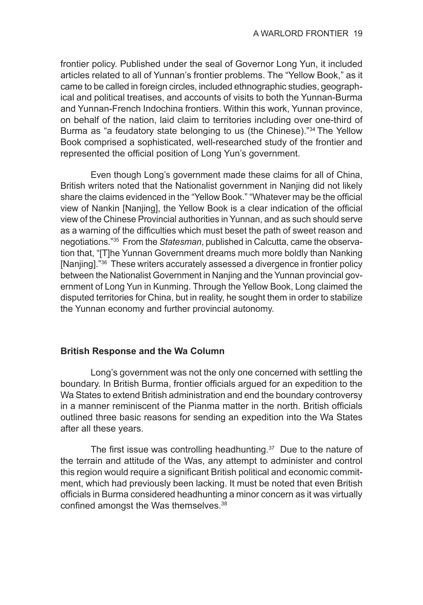frontier policy. Published under the seal of Governor Long Yun, it included articles related to all of Yunnan's frontier problems. The "Yellow Book," as it came to be called in foreign circles, included ethnographic studies, geographical and political treatises, and accounts of visits to both the Yunnan-Burma and Yunnan-French Indochina frontiers. Within this work, Yunnan province, on behalf of the nation, laid claim to territories including over one-third of Burma as "a feudatory state belonging to us (the Chinese)."34 The Yellow Book comprised a sophisticated, well-researched study of the frontier and represented the official position of Long Yun's government.

Even though Long's government made these claims for all of China, British writers noted that the Nationalist government in Nanjing did not likely share the claims evidenced in the "Yellow Book." "Whatever may be the official view of Nankin [Nanjing], the Yellow Book is a clear indication of the official view of the Chinese Provincial authorities in Yunnan, and as such should serve as a warning of the difficulties which must beset the path of sweet reason and negotiations."35 From the *Statesman*, published in Calcutta, came the observation that, "[T]he Yunnan Government dreams much more boldly than Nanking [Nanjing]."36 These writers accurately assessed a divergence in frontier policy between the Nationalist Government in Nanjing and the Yunnan provincial government of Long Yun in Kunming. Through the Yellow Book, Long claimed the disputed territories for China, but in reality, he sought them in order to stabilize the Yunnan economy and further provincial autonomy.

## **British Response and the Wa Column**

Long's government was not the only one concerned with settling the boundary. In British Burma, frontier officials argued for an expedition to the Wa States to extend British administration and end the boundary controversy in a manner reminiscent of the Pianma matter in the north. British officials outlined three basic reasons for sending an expedition into the Wa States after all these years.

The first issue was controlling headhunting.37 Due to the nature of the terrain and attitude of the Was, any attempt to administer and control this region would require a significant British political and economic commitment, which had previously been lacking. It must be noted that even British officials in Burma considered headhunting a minor concern as it was virtually confined amongst the Was themselves.<sup>38</sup>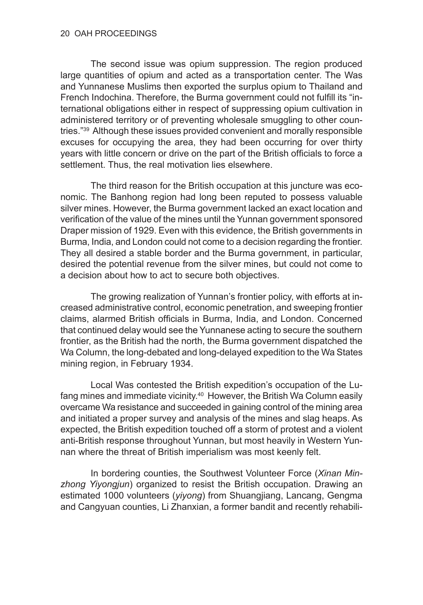The second issue was opium suppression. The region produced large quantities of opium and acted as a transportation center. The Was and Yunnanese Muslims then exported the surplus opium to Thailand and French Indochina. Therefore, the Burma government could not fulfill its "international obligations either in respect of suppressing opium cultivation in administered territory or of preventing wholesale smuggling to other countries."39 Although these issues provided convenient and morally responsible excuses for occupying the area, they had been occurring for over thirty years with little concern or drive on the part of the British officials to force a settlement. Thus, the real motivation lies elsewhere.

The third reason for the British occupation at this juncture was economic. The Banhong region had long been reputed to possess valuable silver mines. However, the Burma government lacked an exact location and verification of the value of the mines until the Yunnan government sponsored Draper mission of 1929. Even with this evidence, the British governments in Burma, India, and London could not come to a decision regarding the frontier. They all desired a stable border and the Burma government, in particular, desired the potential revenue from the silver mines, but could not come to a decision about how to act to secure both objectives.

The growing realization of Yunnan's frontier policy, with efforts at increased administrative control, economic penetration, and sweeping frontier claims, alarmed British officials in Burma, India, and London. Concerned that continued delay would see the Yunnanese acting to secure the southern frontier, as the British had the north, the Burma government dispatched the Wa Column, the long-debated and long-delayed expedition to the Wa States mining region, in February 1934.

Local Was contested the British expedition's occupation of the Lufang mines and immediate vicinity.<sup>40</sup> However, the British Wa Column easily overcame Wa resistance and succeeded in gaining control of the mining area and initiated a proper survey and analysis of the mines and slag heaps. As expected, the British expedition touched off a storm of protest and a violent anti-British response throughout Yunnan, but most heavily in Western Yunnan where the threat of British imperialism was most keenly felt.

In bordering counties, the Southwest Volunteer Force (*Xinan Minzhong Yiyongjun*) organized to resist the British occupation. Drawing an estimated 1000 volunteers (*yiyong*) from Shuangjiang, Lancang, Gengma and Cangyuan counties, Li Zhanxian, a former bandit and recently rehabili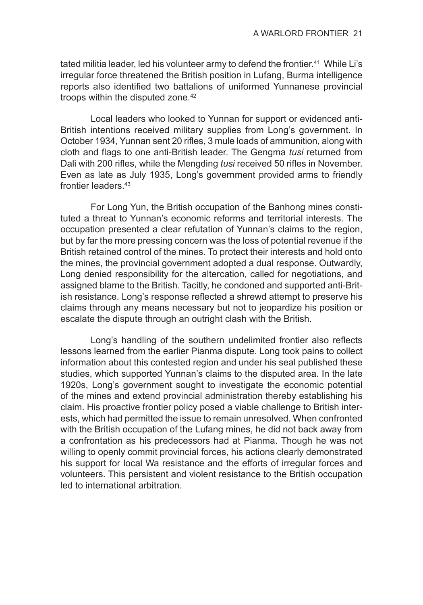tated militia leader, led his volunteer army to defend the frontier.<sup>41</sup> While Li's irregular force threatened the British position in Lufang, Burma intelligence reports also identified two battalions of uniformed Yunnanese provincial troops within the disputed zone.<sup>42</sup>

Local leaders who looked to Yunnan for support or evidenced anti-British intentions received military supplies from Long's government. In October 1934, Yunnan sent 20 rifles, 3 mule loads of ammunition, along with cloth and flags to one anti-British leader. The Gengma *tusi* returned from Dali with 200 rifles, while the Mengding *tusi* received 50 rifles in November. Even as late as July 1935, Long's government provided arms to friendly frontier leaders.<sup>43</sup>

For Long Yun, the British occupation of the Banhong mines constituted a threat to Yunnan's economic reforms and territorial interests. The occupation presented a clear refutation of Yunnan's claims to the region, but by far the more pressing concern was the loss of potential revenue if the British retained control of the mines. To protect their interests and hold onto the mines, the provincial government adopted a dual response. Outwardly, Long denied responsibility for the altercation, called for negotiations, and assigned blame to the British. Tacitly, he condoned and supported anti-British resistance. Long's response reflected a shrewd attempt to preserve his claims through any means necessary but not to jeopardize his position or escalate the dispute through an outright clash with the British.

Long's handling of the southern undelimited frontier also reflects lessons learned from the earlier Pianma dispute. Long took pains to collect information about this contested region and under his seal published these studies, which supported Yunnan's claims to the disputed area. In the late 1920s, Long's government sought to investigate the economic potential of the mines and extend provincial administration thereby establishing his claim. His proactive frontier policy posed a viable challenge to British interests, which had permitted the issue to remain unresolved. When confronted with the British occupation of the Lufang mines, he did not back away from a confrontation as his predecessors had at Pianma. Though he was not willing to openly commit provincial forces, his actions clearly demonstrated his support for local Wa resistance and the efforts of irregular forces and volunteers. This persistent and violent resistance to the British occupation led to international arbitration.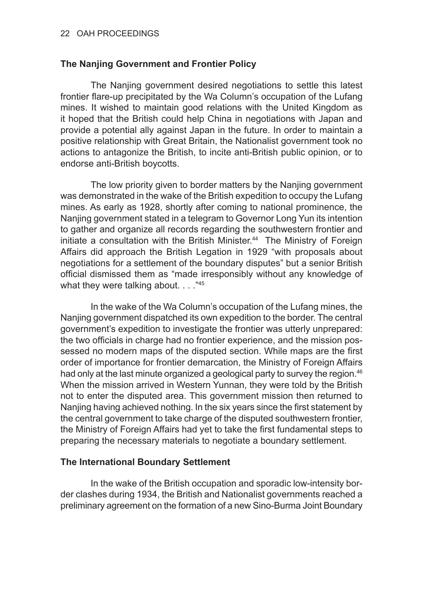# **The Nanjing Government and Frontier Policy**

The Nanjing government desired negotiations to settle this latest frontier flare-up precipitated by the Wa Column's occupation of the Lufang mines. It wished to maintain good relations with the United Kingdom as it hoped that the British could help China in negotiations with Japan and provide a potential ally against Japan in the future. In order to maintain a positive relationship with Great Britain, the Nationalist government took no actions to antagonize the British, to incite anti-British public opinion, or to endorse anti-British boycotts.

The low priority given to border matters by the Nanjing government was demonstrated in the wake of the British expedition to occupy the Lufang mines. As early as 1928, shortly after coming to national prominence, the Nanjing government stated in a telegram to Governor Long Yun its intention to gather and organize all records regarding the southwestern frontier and initiate a consultation with the British Minister.<sup>44</sup> The Ministry of Foreign Affairs did approach the British Legation in 1929 "with proposals about negotiations for a settlement of the boundary disputes" but a senior British official dismissed them as "made irresponsibly without any knowledge of what they were talking about. . . . "45

In the wake of the Wa Column's occupation of the Lufang mines, the Nanjing government dispatched its own expedition to the border. The central government's expedition to investigate the frontier was utterly unprepared: the two officials in charge had no frontier experience, and the mission possessed no modern maps of the disputed section. While maps are the first order of importance for frontier demarcation, the Ministry of Foreign Affairs had only at the last minute organized a geological party to survey the region.<sup>46</sup> When the mission arrived in Western Yunnan, they were told by the British not to enter the disputed area. This government mission then returned to Nanjing having achieved nothing. In the six years since the first statement by the central government to take charge of the disputed southwestern frontier, the Ministry of Foreign Affairs had yet to take the first fundamental steps to preparing the necessary materials to negotiate a boundary settlement.

# **The International Boundary Settlement**

In the wake of the British occupation and sporadic low-intensity border clashes during 1934, the British and Nationalist governments reached a preliminary agreement on the formation of a new Sino-Burma Joint Boundary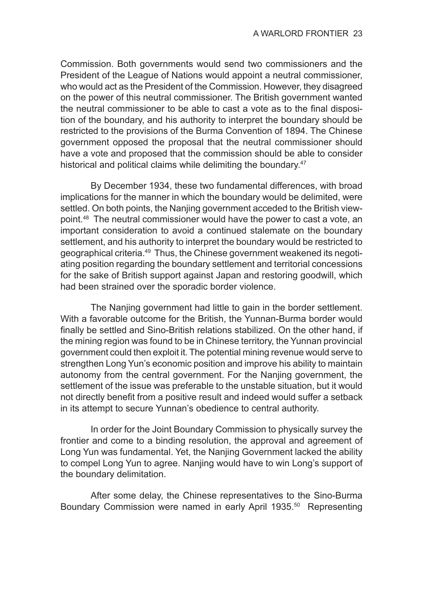Commission. Both governments would send two commissioners and the President of the League of Nations would appoint a neutral commissioner, who would act as the President of the Commission. However, they disagreed on the power of this neutral commissioner. The British government wanted the neutral commissioner to be able to cast a vote as to the final disposition of the boundary, and his authority to interpret the boundary should be restricted to the provisions of the Burma Convention of 1894. The Chinese government opposed the proposal that the neutral commissioner should have a vote and proposed that the commission should be able to consider historical and political claims while delimiting the boundary.<sup>47</sup>

By December 1934, these two fundamental differences, with broad implications for the manner in which the boundary would be delimited, were settled. On both points, the Nanjing government acceded to the British viewpoint.48 The neutral commissioner would have the power to cast a vote, an important consideration to avoid a continued stalemate on the boundary settlement, and his authority to interpret the boundary would be restricted to geographical criteria.<sup>49</sup> Thus, the Chinese government weakened its negotiating position regarding the boundary settlement and territorial concessions for the sake of British support against Japan and restoring goodwill, which had been strained over the sporadic border violence.

The Nanjing government had little to gain in the border settlement. With a favorable outcome for the British, the Yunnan-Burma border would finally be settled and Sino-British relations stabilized. On the other hand, if the mining region was found to be in Chinese territory, the Yunnan provincial government could then exploit it. The potential mining revenue would serve to strengthen Long Yun's economic position and improve his ability to maintain autonomy from the central government. For the Nanjing government, the settlement of the issue was preferable to the unstable situation, but it would not directly benefit from a positive result and indeed would suffer a setback in its attempt to secure Yunnan's obedience to central authority.

In order for the Joint Boundary Commission to physically survey the frontier and come to a binding resolution, the approval and agreement of Long Yun was fundamental. Yet, the Nanjing Government lacked the ability to compel Long Yun to agree. Nanjing would have to win Long's support of the boundary delimitation.

After some delay, the Chinese representatives to the Sino-Burma Boundary Commission were named in early April 1935.<sup>50</sup> Representing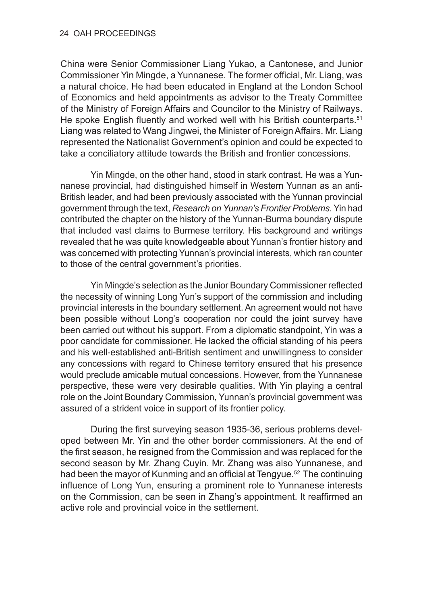China were Senior Commissioner Liang Yukao, a Cantonese, and Junior Commissioner Yin Mingde, a Yunnanese. The former official, Mr. Liang, was a natural choice. He had been educated in England at the London School of Economics and held appointments as advisor to the Treaty Committee of the Ministry of Foreign Affairs and Councilor to the Ministry of Railways. He spoke English fluently and worked well with his British counterparts.<sup>51</sup> Liang was related to Wang Jingwei, the Minister of Foreign Affairs. Mr. Liang represented the Nationalist Government's opinion and could be expected to take a conciliatory attitude towards the British and frontier concessions.

Yin Mingde, on the other hand, stood in stark contrast. He was a Yunnanese provincial, had distinguished himself in Western Yunnan as an anti-British leader, and had been previously associated with the Yunnan provincial government through the text, *Research on Yunnan's Frontier Problems.* Yin had contributed the chapter on the history of the Yunnan-Burma boundary dispute that included vast claims to Burmese territory. His background and writings revealed that he was quite knowledgeable about Yunnan's frontier history and was concerned with protecting Yunnan's provincial interests, which ran counter to those of the central government's priorities.

Yin Mingde's selection as the Junior Boundary Commissioner reflected the necessity of winning Long Yun's support of the commission and including provincial interests in the boundary settlement. An agreement would not have been possible without Long's cooperation nor could the joint survey have been carried out without his support. From a diplomatic standpoint, Yin was a poor candidate for commissioner. He lacked the official standing of his peers and his well-established anti-British sentiment and unwillingness to consider any concessions with regard to Chinese territory ensured that his presence would preclude amicable mutual concessions. However, from the Yunnanese perspective, these were very desirable qualities. With Yin playing a central role on the Joint Boundary Commission, Yunnan's provincial government was assured of a strident voice in support of its frontier policy.

During the first surveying season 1935-36, serious problems developed between Mr. Yin and the other border commissioners. At the end of the first season, he resigned from the Commission and was replaced for the second season by Mr. Zhang Cuyin. Mr. Zhang was also Yunnanese, and had been the mayor of Kunming and an official at Tengyue.<sup>52</sup> The continuing influence of Long Yun, ensuring a prominent role to Yunnanese interests on the Commission, can be seen in Zhang's appointment. It reaffirmed an active role and provincial voice in the settlement.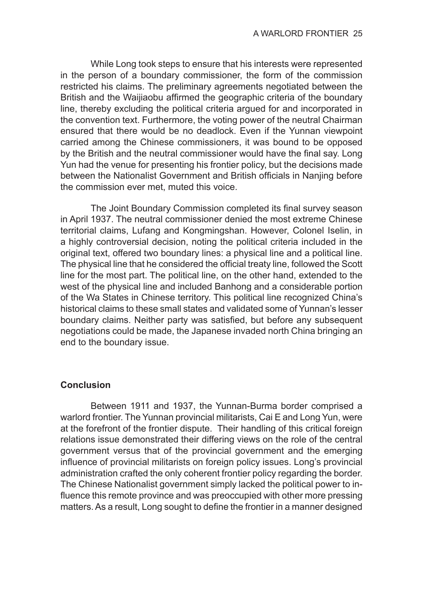While Long took steps to ensure that his interests were represented in the person of a boundary commissioner, the form of the commission restricted his claims. The preliminary agreements negotiated between the British and the Waijiaobu affirmed the geographic criteria of the boundary line, thereby excluding the political criteria argued for and incorporated in the convention text. Furthermore, the voting power of the neutral Chairman ensured that there would be no deadlock. Even if the Yunnan viewpoint carried among the Chinese commissioners, it was bound to be opposed by the British and the neutral commissioner would have the final say. Long Yun had the venue for presenting his frontier policy, but the decisions made between the Nationalist Government and British officials in Nanjing before the commission ever met, muted this voice.

The Joint Boundary Commission completed its final survey season in April 1937. The neutral commissioner denied the most extreme Chinese territorial claims, Lufang and Kongmingshan. However, Colonel Iselin, in a highly controversial decision, noting the political criteria included in the original text, offered two boundary lines: a physical line and a political line. The physical line that he considered the official treaty line, followed the Scott line for the most part. The political line, on the other hand, extended to the west of the physical line and included Banhong and a considerable portion of the Wa States in Chinese territory. This political line recognized China's historical claims to these small states and validated some of Yunnan's lesser boundary claims. Neither party was satisfied, but before any subsequent negotiations could be made, the Japanese invaded north China bringing an end to the boundary issue.

# **Conclusion**

Between 1911 and 1937, the Yunnan-Burma border comprised a warlord frontier. The Yunnan provincial militarists, Cai E and Long Yun, were at the forefront of the frontier dispute. Their handling of this critical foreign relations issue demonstrated their differing views on the role of the central government versus that of the provincial government and the emerging influence of provincial militarists on foreign policy issues. Long's provincial administration crafted the only coherent frontier policy regarding the border. The Chinese Nationalist government simply lacked the political power to influence this remote province and was preoccupied with other more pressing matters. As a result, Long sought to define the frontier in a manner designed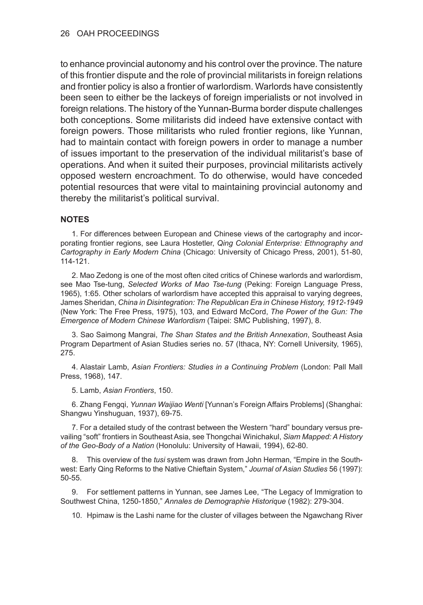to enhance provincial autonomy and his control over the province. The nature of this frontier dispute and the role of provincial militarists in foreign relations and frontier policy is also a frontier of warlordism. Warlords have consistently been seen to either be the lackeys of foreign imperialists or not involved in foreign relations. The history of the Yunnan-Burma border dispute challenges both conceptions. Some militarists did indeed have extensive contact with foreign powers. Those militarists who ruled frontier regions, like Yunnan, had to maintain contact with foreign powers in order to manage a number of issues important to the preservation of the individual militarist's base of operations. And when it suited their purposes, provincial militarists actively opposed western encroachment. To do otherwise, would have conceded potential resources that were vital to maintaining provincial autonomy and thereby the militarist's political survival.

#### **NOTES**

1. For differences between European and Chinese views of the cartography and incorporating frontier regions, see Laura Hostetler, *Qing Colonial Enterprise: Ethnography and Cartography in Early Modern China* (Chicago: University of Chicago Press, 2001), 51-80, 114-121.

2. Mao Zedong is one of the most often cited critics of Chinese warlords and warlordism, see Mao Tse-tung, *Selected Works of Mao Tse-tung* (Peking: Foreign Language Press, 1965), 1:65. Other scholars of warlordism have accepted this appraisal to varying degrees, James Sheridan, *China in Disintegration: The Republican Era in Chinese History, 1912-1949* (New York: The Free Press, 1975), 103, and Edward McCord, *The Power of the Gun: The Emergence of Modern Chinese Warlordism* (Taipei: SMC Publishing, 1997), 8.

3. Sao Saimong Mangrai, *The Shan States and the British Annexation*, Southeast Asia Program Department of Asian Studies series no. 57 (Ithaca, NY: Cornell University, 1965), 275.

4. Alastair Lamb, *Asian Frontiers: Studies in a Continuing Problem* (London: Pall Mall Press, 1968), 147.

5. Lamb, *Asian Frontiers*, 150.

6. Zhang Fengqi, *Yunnan Waijiao Wenti* [Yunnan's Foreign Affairs Problems] (Shanghai: Shangwu Yinshuguan, 1937), 69-75.

7. For a detailed study of the contrast between the Western "hard" boundary versus prevailing "soft" frontiers in Southeast Asia, see Thongchai Winichakul, *Siam Mapped: A History of the Geo-Body of a Nation* (Honolulu: University of Hawaii, 1994), 62-80.

8. This overview of the *tusi* system was drawn from John Herman, "Empire in the Southwest: Early Qing Reforms to the Native Chieftain System," *Journal of Asian Studies* 56 (1997): 50-55.

9. For settlement patterns in Yunnan, see James Lee, "The Legacy of Immigration to Southwest China, 1250-1850," *Annales de Demographie Historique* (1982): 279-304.

10. Hpimaw is the Lashi name for the cluster of villages between the Ngawchang River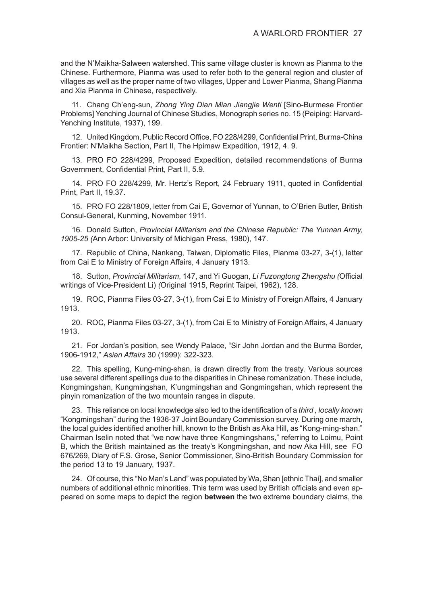and the N'Maikha-Salween watershed. This same village cluster is known as Pianma to the Chinese. Furthermore, Pianma was used to refer both to the general region and cluster of villages as well as the proper name of two villages, Upper and Lower Pianma, Shang Pianma and Xia Pianma in Chinese, respectively.

11. Chang Ch'eng-sun, *Zhong Ying Dian Mian Jiangjie Wenti* [Sino-Burmese Frontier Problems] Yenching Journal of Chinese Studies, Monograph series no. 15 (Peiping: Harvard-Yenching Institute, 1937), 199.

12. United Kingdom, Public Record Office, FO 228/4299, Confidential Print, Burma-China Frontier: N'Maikha Section, Part II, The Hpimaw Expedition, 1912, 4. 9.

13. PRO FO 228/4299, Proposed Expedition, detailed recommendations of Burma Government, Confidential Print, Part II, 5.9.

14. PRO FO 228/4299, Mr. Hertz's Report, 24 February 1911, quoted in Confidential Print, Part II, 19.37.

15. PRO FO 228/1809, letter from Cai E, Governor of Yunnan, to O'Brien Butler, British Consul-General, Kunming, November 1911.

16. Donald Sutton, *Provincial Militarism and the Chinese Republic: The Yunnan Army, 1905-25 (*Ann Arbor: University of Michigan Press, 1980), 147.

17. Republic of China, Nankang, Taiwan, Diplomatic Files, Pianma 03-27, 3-(1), letter from Cai E to Ministry of Foreign Affairs, 4 January 1913.

18. Sutton, *Provincial Militarism*, 147, and Yi Guogan, *Li Fuzongtong Zhengshu (*Official writings of Vice-President Li) *(*Original 1915, Reprint Taipei, 1962), 128.

19. ROC, Pianma Files 03-27, 3-(1), from Cai E to Ministry of Foreign Affairs, 4 January 1913.

20. ROC, Pianma Files 03-27, 3-(1), from Cai E to Ministry of Foreign Affairs, 4 January 1913.

21. For Jordan's position, see Wendy Palace, "Sir John Jordan and the Burma Border, 1906-1912," *Asian Affairs* 30 (1999): 322-323.

22. This spelling, Kung-ming-shan, is drawn directly from the treaty. Various sources use several different spellings due to the disparities in Chinese romanization. These include, Kongmingshan, Kungmingshan, K'ungmingshan and Gongmingshan, which represent the pinyin romanization of the two mountain ranges in dispute.

23. This reliance on local knowledge also led to the identification of a *third , locally known*  "Kongmingshan" during the 1936-37 Joint Boundary Commission survey. During one march, the local guides identified another hill, known to the British as Aka Hill, as "Kong-ming-shan." Chairman Iselin noted that "we now have three Kongmingshans," referring to Loimu, Point B, which the British maintained as the treaty's Kongmingshan, and now Aka Hill, see FO 676/269, Diary of F.S. Grose, Senior Commissioner, Sino-British Boundary Commission for the period 13 to 19 January, 1937.

24. Of course, this "No Man's Land" was populated by Wa, Shan [ethnic Thai], and smaller numbers of additional ethnic minorities. This term was used by British officials and even appeared on some maps to depict the region **between** the two extreme boundary claims, the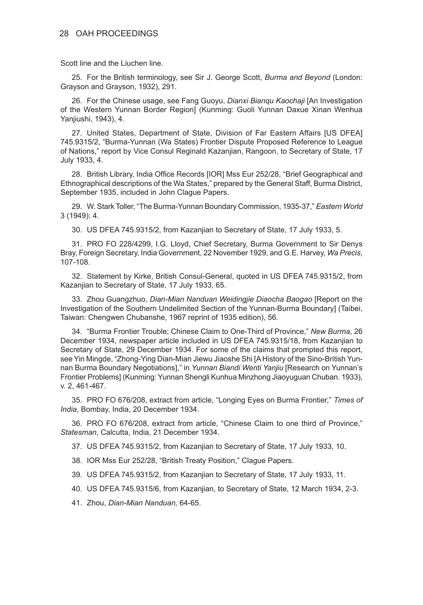Scott line and the Liuchen line.

25. For the British terminology, see Sir J. George Scott, *Burma and Beyond* (London: Grayson and Grayson, 1932), 291.

26. For the Chinese usage, see Fang Guoyu, *Dianxi Bianqu Kaochaji* [An Investigation of the Western Yunnan Border Region] (Kunming: Guoli Yunnan Daxue Xinan Wenhua Yanjiushi, 1943), 4.

27. United States, Department of State, Division of Far Eastern Affairs [US DFEA] 745.9315/2, "Burma-Yunnan (Wa States) Frontier Dispute Proposed Reference to League of Nations," report by Vice Consul Reginald Kazanjian, Rangoon, to Secretary of State, 17 July 1933, 4.

28. British Library, India Office Records [IOR] Mss Eur 252/28, "Brief Geographical and Ethnographical descriptions of the Wa States," prepared by the General Staff, Burma District, September 1935, included in John Clague Papers.

29. W. Stark Toller, "The Burma-Yunnan Boundary Commission, 1935-37," *Eastern World* 3 (1949): 4.

30. US DFEA 745.9315/2, from Kazanjian to Secretary of State, 17 July 1933, 5.

31. PRO FO 228/4299, I.G. Lloyd, Chief Secretary, Burma Government to Sir Denys Bray, Foreign Secretary, India Government, 22 November 1929, and G.E. Harvey, *Wa Precis*, 107-108.

32. Statement by Kirke, British Consul-General, quoted in US DFEA 745.9315/2, from Kazanjian to Secretary of State, 17 July 1933, 65.

33. Zhou Guangzhuo, *Dian-Mian Nanduan Weidingjie Diaocha Baogao* [Report on the Investigation of the Southern Undelimited Section of the Yunnan-Burma Boundary] (Taibei, Taiwan: Chengwen Chubanshe, 1967 reprint of 1935 edition), 56.

34. "Burma Frontier Trouble; Chinese Claim to One-Third of Province," *New Burma*, 26 December 1934, newspaper article included in US DFEA 745.9315/18, from Kazanjian to Secretary of State, 29 December 1934. For some of the claims that prompted this report, see Yin Mingde, "Zhong-Ying Dian-Mian Jiewu Jiaoshe Shi [A History of the Sino-British Yunnan Burma Boundary Negotiations]," in *Yunnan Biandi Wenti Yanjiu* [Research on Yunnan's Frontier Problems] (Kunming: Yunnan Shengli Kunhua Minzhong Jiaoyuguan Chuban. 1933), v. 2, 461-467.

35. PRO FO 676/208, extract from article, "Longing Eyes on Burma Frontier," *Times of India*, Bombay, India, 20 December 1934.

36. PRO FO 676/208, extract from article, "Chinese Claim to one third of Province," *Statesman*, Calcutta, India, 21 December 1934.

37. US DFEA 745.9315/2, from Kazanjian to Secretary of State, 17 July 1933, 10.

- 38. IOR Mss Eur 252/28, "British Treaty Position," Clague Papers.
- 39. US DFEA 745.9315/2, from Kazanjian to Secretary of State, 17 July 1933, 11.
- 40. US DFEA 745.9315/6, from Kazanjian, to Secretary of State, 12 March 1934, 2-3.
- 41. Zhou, *Dian-Mian Nanduan,* 64-65.